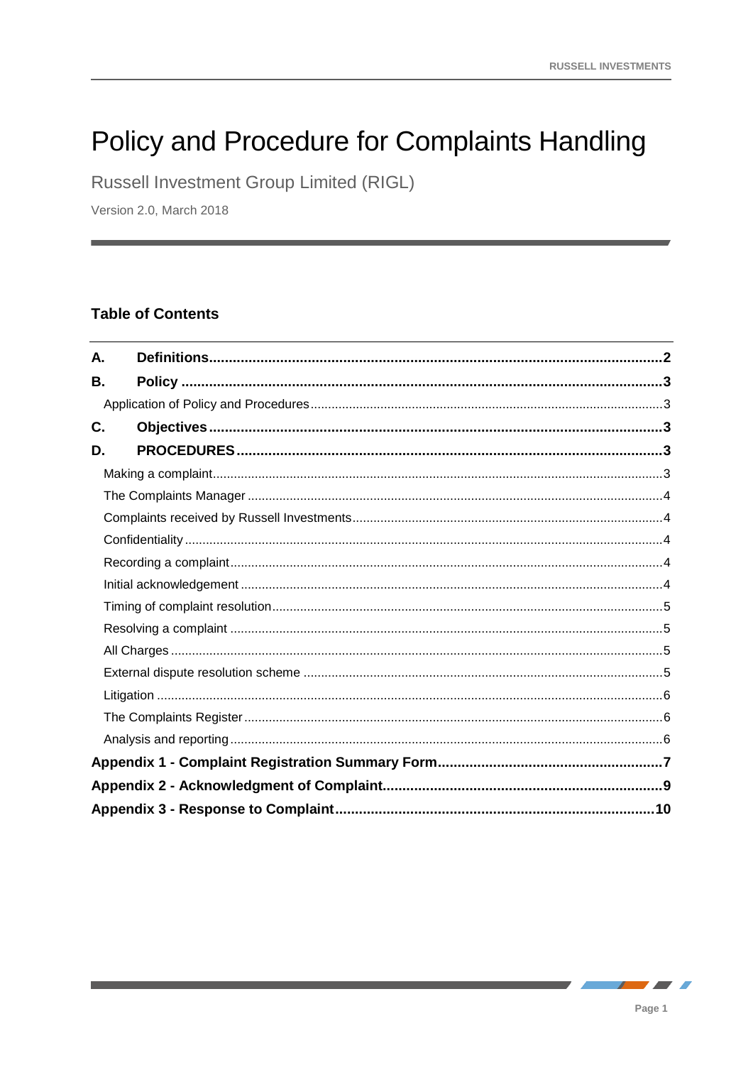# Policy and Procedure for Complaints Handling

Russell Investment Group Limited (RIGL)

Version 2.0, March 2018

# **Table of Contents**

| А. |  |
|----|--|
| В. |  |
|    |  |
| C. |  |
| D. |  |
|    |  |
|    |  |
|    |  |
|    |  |
|    |  |
|    |  |
|    |  |
|    |  |
|    |  |
|    |  |
|    |  |
|    |  |
|    |  |
|    |  |
|    |  |
|    |  |

 $\overline{\phantom{a}}$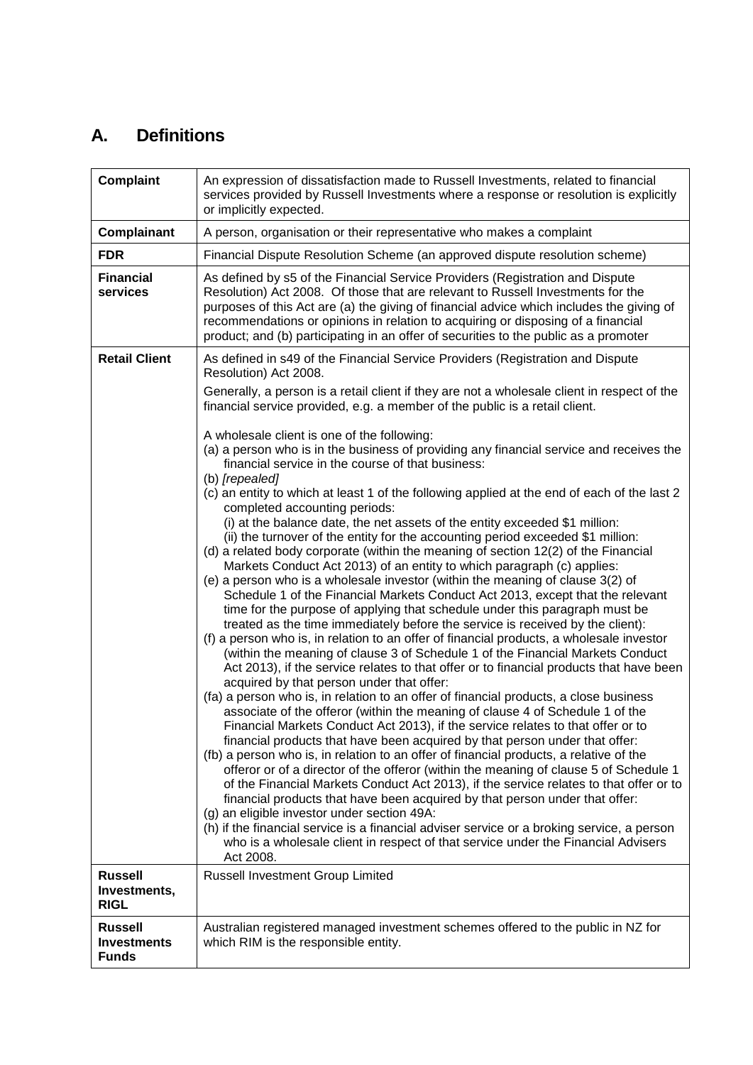# **A. Definitions**

| <b>Complaint</b>                                     | An expression of dissatisfaction made to Russell Investments, related to financial<br>services provided by Russell Investments where a response or resolution is explicitly<br>or implicitly expected.                                                                                                                                                                                                                                                                                                                                                                                                                                                                                                                                                                                                                                                                                                                                                                                                                                                                                                                                                                                                                                                                                                                                                                                                                                                                                                                                                                                                                                                                                                                                                                                                                                                                                                                                                                                                                                                                           |
|------------------------------------------------------|----------------------------------------------------------------------------------------------------------------------------------------------------------------------------------------------------------------------------------------------------------------------------------------------------------------------------------------------------------------------------------------------------------------------------------------------------------------------------------------------------------------------------------------------------------------------------------------------------------------------------------------------------------------------------------------------------------------------------------------------------------------------------------------------------------------------------------------------------------------------------------------------------------------------------------------------------------------------------------------------------------------------------------------------------------------------------------------------------------------------------------------------------------------------------------------------------------------------------------------------------------------------------------------------------------------------------------------------------------------------------------------------------------------------------------------------------------------------------------------------------------------------------------------------------------------------------------------------------------------------------------------------------------------------------------------------------------------------------------------------------------------------------------------------------------------------------------------------------------------------------------------------------------------------------------------------------------------------------------------------------------------------------------------------------------------------------------|
| Complainant                                          | A person, organisation or their representative who makes a complaint                                                                                                                                                                                                                                                                                                                                                                                                                                                                                                                                                                                                                                                                                                                                                                                                                                                                                                                                                                                                                                                                                                                                                                                                                                                                                                                                                                                                                                                                                                                                                                                                                                                                                                                                                                                                                                                                                                                                                                                                             |
| <b>FDR</b>                                           | Financial Dispute Resolution Scheme (an approved dispute resolution scheme)                                                                                                                                                                                                                                                                                                                                                                                                                                                                                                                                                                                                                                                                                                                                                                                                                                                                                                                                                                                                                                                                                                                                                                                                                                                                                                                                                                                                                                                                                                                                                                                                                                                                                                                                                                                                                                                                                                                                                                                                      |
| <b>Financial</b><br>services                         | As defined by s5 of the Financial Service Providers (Registration and Dispute<br>Resolution) Act 2008. Of those that are relevant to Russell Investments for the<br>purposes of this Act are (a) the giving of financial advice which includes the giving of<br>recommendations or opinions in relation to acquiring or disposing of a financial<br>product; and (b) participating in an offer of securities to the public as a promoter                                                                                                                                                                                                                                                                                                                                                                                                                                                                                                                                                                                                                                                                                                                                                                                                                                                                                                                                                                                                                                                                                                                                                                                                                                                                                                                                                                                                                                                                                                                                                                                                                                         |
| <b>Retail Client</b>                                 | As defined in s49 of the Financial Service Providers (Registration and Dispute<br>Resolution) Act 2008.                                                                                                                                                                                                                                                                                                                                                                                                                                                                                                                                                                                                                                                                                                                                                                                                                                                                                                                                                                                                                                                                                                                                                                                                                                                                                                                                                                                                                                                                                                                                                                                                                                                                                                                                                                                                                                                                                                                                                                          |
|                                                      | Generally, a person is a retail client if they are not a wholesale client in respect of the<br>financial service provided, e.g. a member of the public is a retail client.                                                                                                                                                                                                                                                                                                                                                                                                                                                                                                                                                                                                                                                                                                                                                                                                                                                                                                                                                                                                                                                                                                                                                                                                                                                                                                                                                                                                                                                                                                                                                                                                                                                                                                                                                                                                                                                                                                       |
|                                                      | A wholesale client is one of the following:<br>(a) a person who is in the business of providing any financial service and receives the<br>financial service in the course of that business:<br>(b) [repealed]                                                                                                                                                                                                                                                                                                                                                                                                                                                                                                                                                                                                                                                                                                                                                                                                                                                                                                                                                                                                                                                                                                                                                                                                                                                                                                                                                                                                                                                                                                                                                                                                                                                                                                                                                                                                                                                                    |
|                                                      | (c) an entity to which at least 1 of the following applied at the end of each of the last 2<br>completed accounting periods:<br>(i) at the balance date, the net assets of the entity exceeded \$1 million:<br>(ii) the turnover of the entity for the accounting period exceeded \$1 million:<br>(d) a related body corporate (within the meaning of section 12(2) of the Financial<br>Markets Conduct Act 2013) of an entity to which paragraph (c) applies:<br>(e) a person who is a wholesale investor (within the meaning of clause 3(2) of<br>Schedule 1 of the Financial Markets Conduct Act 2013, except that the relevant<br>time for the purpose of applying that schedule under this paragraph must be<br>treated as the time immediately before the service is received by the client):<br>(f) a person who is, in relation to an offer of financial products, a wholesale investor<br>(within the meaning of clause 3 of Schedule 1 of the Financial Markets Conduct<br>Act 2013), if the service relates to that offer or to financial products that have been<br>acquired by that person under that offer:<br>(fa) a person who is, in relation to an offer of financial products, a close business<br>associate of the offeror (within the meaning of clause 4 of Schedule 1 of the<br>Financial Markets Conduct Act 2013), if the service relates to that offer or to<br>financial products that have been acquired by that person under that offer:<br>(fb) a person who is, in relation to an offer of financial products, a relative of the<br>offeror or of a director of the offeror (within the meaning of clause 5 of Schedule 1<br>of the Financial Markets Conduct Act 2013), if the service relates to that offer or to<br>financial products that have been acquired by that person under that offer:<br>(g) an eligible investor under section 49A:<br>(h) if the financial service is a financial adviser service or a broking service, a person<br>who is a wholesale client in respect of that service under the Financial Advisers<br>Act 2008. |
| <b>Russell</b><br>Investments,<br><b>RIGL</b>        | Russell Investment Group Limited                                                                                                                                                                                                                                                                                                                                                                                                                                                                                                                                                                                                                                                                                                                                                                                                                                                                                                                                                                                                                                                                                                                                                                                                                                                                                                                                                                                                                                                                                                                                                                                                                                                                                                                                                                                                                                                                                                                                                                                                                                                 |
| <b>Russell</b><br><b>Investments</b><br><b>Funds</b> | Australian registered managed investment schemes offered to the public in NZ for<br>which RIM is the responsible entity.                                                                                                                                                                                                                                                                                                                                                                                                                                                                                                                                                                                                                                                                                                                                                                                                                                                                                                                                                                                                                                                                                                                                                                                                                                                                                                                                                                                                                                                                                                                                                                                                                                                                                                                                                                                                                                                                                                                                                         |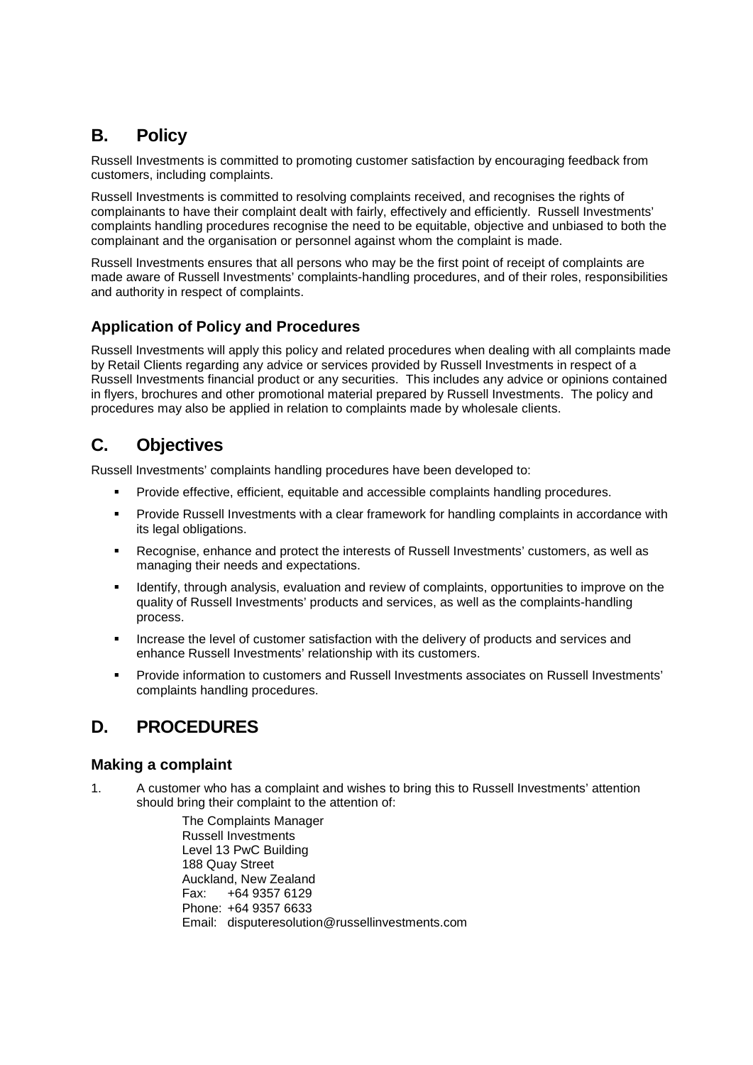# **B. Policy**

Russell Investments is committed to promoting customer satisfaction by encouraging feedback from customers, including complaints.

Russell Investments is committed to resolving complaints received, and recognises the rights of complainants to have their complaint dealt with fairly, effectively and efficiently. Russell Investments' complaints handling procedures recognise the need to be equitable, objective and unbiased to both the complainant and the organisation or personnel against whom the complaint is made.

Russell Investments ensures that all persons who may be the first point of receipt of complaints are made aware of Russell Investments' complaints-handling procedures, and of their roles, responsibilities and authority in respect of complaints.

# **Application of Policy and Procedures**

Russell Investments will apply this policy and related procedures when dealing with all complaints made by Retail Clients regarding any advice or services provided by Russell Investments in respect of a Russell Investments financial product or any securities. This includes any advice or opinions contained in flyers, brochures and other promotional material prepared by Russell Investments. The policy and procedures may also be applied in relation to complaints made by wholesale clients.

# **C. Objectives**

Russell Investments' complaints handling procedures have been developed to:

- **Provide effective, efficient, equitable and accessible complaints handling procedures.**
- Provide Russell Investments with a clear framework for handling complaints in accordance with its legal obligations.
- Recognise, enhance and protect the interests of Russell Investments' customers, as well as managing their needs and expectations.
- **IDENTIFY** Identify, through analysis, evaluation and review of complaints, opportunities to improve on the quality of Russell Investments' products and services, as well as the complaints-handling process.
- Increase the level of customer satisfaction with the delivery of products and services and enhance Russell Investments' relationship with its customers.
- Provide information to customers and Russell Investments associates on Russell Investments' complaints handling procedures.

# **D. PROCEDURES**

# **Making a complaint**

1. A customer who has a complaint and wishes to bring this to Russell Investments' attention should bring their complaint to the attention of:

> The Complaints Manager Russell Investments Level 13 PwC Building 188 Quay Street Auckland, New Zealand Fax: +64 9357 6129 Phone: +64 9357 6633 Email: disputeresolution@russellinvestments.com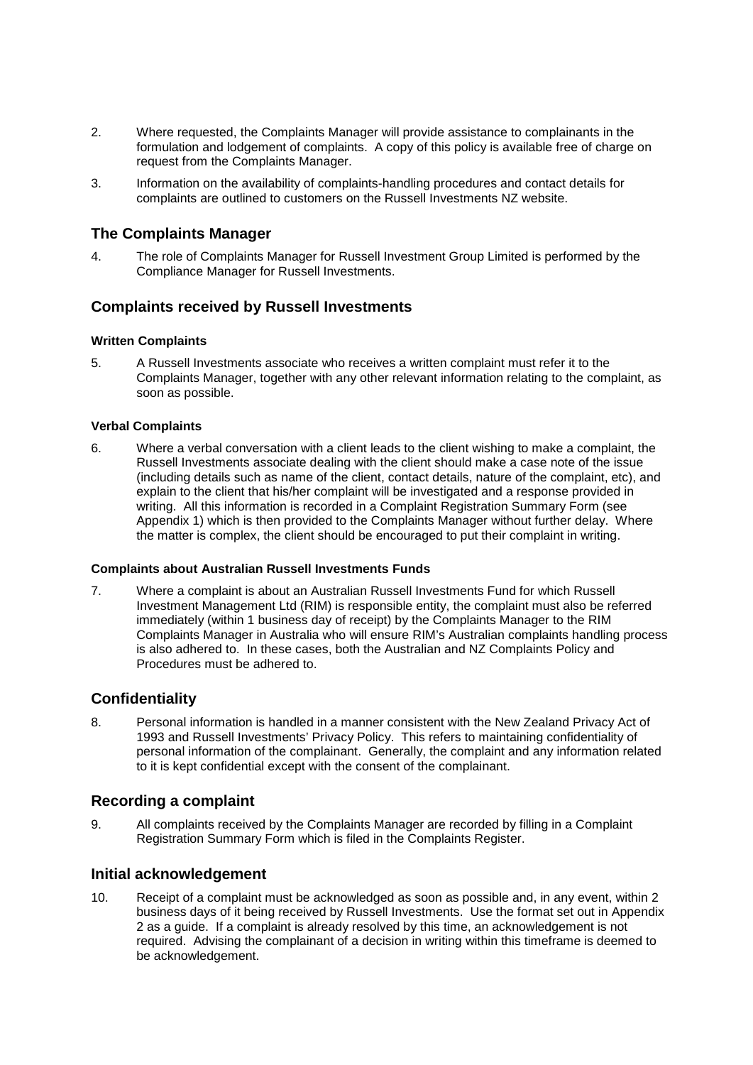- 2. Where requested, the Complaints Manager will provide assistance to complainants in the formulation and lodgement of complaints. A copy of this policy is available free of charge on request from the Complaints Manager.
- 3. Information on the availability of complaints-handling procedures and contact details for complaints are outlined to customers on the Russell Investments NZ website.

# **The Complaints Manager**

4. The role of Complaints Manager for Russell Investment Group Limited is performed by the Compliance Manager for Russell Investments.

# **Complaints received by Russell Investments**

#### **Written Complaints**

5. A Russell Investments associate who receives a written complaint must refer it to the Complaints Manager, together with any other relevant information relating to the complaint, as soon as possible.

#### **Verbal Complaints**

6. Where a verbal conversation with a client leads to the client wishing to make a complaint, the Russell Investments associate dealing with the client should make a case note of the issue (including details such as name of the client, contact details, nature of the complaint, etc), and explain to the client that his/her complaint will be investigated and a response provided in writing. All this information is recorded in a Complaint Registration Summary Form (see Appendix 1) which is then provided to the Complaints Manager without further delay. Where the matter is complex, the client should be encouraged to put their complaint in writing.

#### **Complaints about Australian Russell Investments Funds**

7. Where a complaint is about an Australian Russell Investments Fund for which Russell Investment Management Ltd (RIM) is responsible entity, the complaint must also be referred immediately (within 1 business day of receipt) by the Complaints Manager to the RIM Complaints Manager in Australia who will ensure RIM's Australian complaints handling process is also adhered to. In these cases, both the Australian and NZ Complaints Policy and Procedures must be adhered to.

# **Confidentiality**

8. Personal information is handled in a manner consistent with the New Zealand Privacy Act of 1993 and Russell Investments' Privacy Policy. This refers to maintaining confidentiality of personal information of the complainant. Generally, the complaint and any information related to it is kept confidential except with the consent of the complainant.

#### **Recording a complaint**

9. All complaints received by the Complaints Manager are recorded by filling in a Complaint Registration Summary Form which is filed in the Complaints Register.

# **Initial acknowledgement**

10. Receipt of a complaint must be acknowledged as soon as possible and, in any event, within 2 business days of it being received by Russell Investments. Use the format set out in Appendix 2 as a guide. If a complaint is already resolved by this time, an acknowledgement is not required. Advising the complainant of a decision in writing within this timeframe is deemed to be acknowledgement.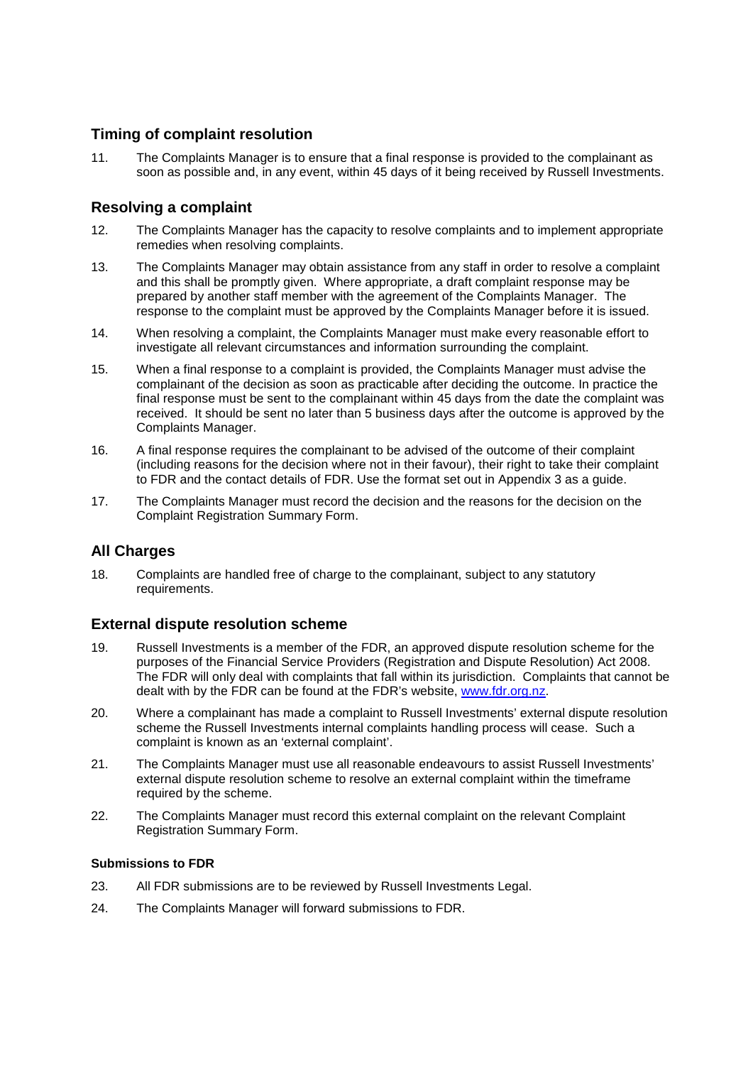# **Timing of complaint resolution**

11. The Complaints Manager is to ensure that a final response is provided to the complainant as soon as possible and, in any event, within 45 days of it being received by Russell Investments.

# **Resolving a complaint**

- 12. The Complaints Manager has the capacity to resolve complaints and to implement appropriate remedies when resolving complaints.
- 13. The Complaints Manager may obtain assistance from any staff in order to resolve a complaint and this shall be promptly given. Where appropriate, a draft complaint response may be prepared by another staff member with the agreement of the Complaints Manager. The response to the complaint must be approved by the Complaints Manager before it is issued.
- 14. When resolving a complaint, the Complaints Manager must make every reasonable effort to investigate all relevant circumstances and information surrounding the complaint.
- 15. When a final response to a complaint is provided, the Complaints Manager must advise the complainant of the decision as soon as practicable after deciding the outcome. In practice the final response must be sent to the complainant within 45 days from the date the complaint was received. It should be sent no later than 5 business days after the outcome is approved by the Complaints Manager.
- 16. A final response requires the complainant to be advised of the outcome of their complaint (including reasons for the decision where not in their favour), their right to take their complaint to FDR and the contact details of FDR. Use the format set out in Appendix 3 as a guide.
- 17. The Complaints Manager must record the decision and the reasons for the decision on the Complaint Registration Summary Form.

# **All Charges**

18. Complaints are handled free of charge to the complainant, subject to any statutory requirements.

# **External dispute resolution scheme**

- 19. Russell Investments is a member of the FDR, an approved dispute resolution scheme for the purposes of the Financial Service Providers (Registration and Dispute Resolution) Act 2008. The FDR will only deal with complaints that fall within its jurisdiction. Complaints that cannot be dealt with by the FDR can be found at the FDR's website, www.fdr.org.nz.
- 20. Where a complainant has made a complaint to Russell Investments' external dispute resolution scheme the Russell Investments internal complaints handling process will cease. Such a complaint is known as an 'external complaint'.
- 21. The Complaints Manager must use all reasonable endeavours to assist Russell Investments' external dispute resolution scheme to resolve an external complaint within the timeframe required by the scheme.
- 22. The Complaints Manager must record this external complaint on the relevant Complaint Registration Summary Form.

#### **Submissions to FDR**

- 23. All FDR submissions are to be reviewed by Russell Investments Legal.
- 24. The Complaints Manager will forward submissions to FDR.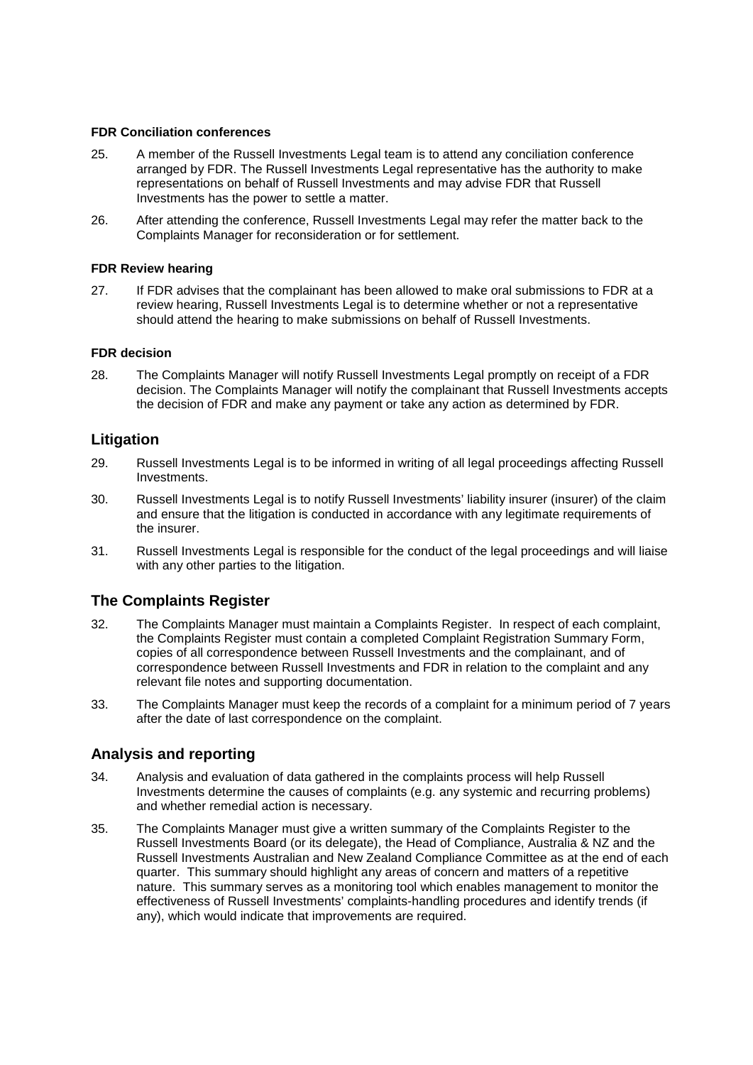#### **FDR Conciliation conferences**

- 25. A member of the Russell Investments Legal team is to attend any conciliation conference arranged by FDR. The Russell Investments Legal representative has the authority to make representations on behalf of Russell Investments and may advise FDR that Russell Investments has the power to settle a matter.
- 26. After attending the conference, Russell Investments Legal may refer the matter back to the Complaints Manager for reconsideration or for settlement.

#### **FDR Review hearing**

27. If FDR advises that the complainant has been allowed to make oral submissions to FDR at a review hearing, Russell Investments Legal is to determine whether or not a representative should attend the hearing to make submissions on behalf of Russell Investments.

#### **FDR decision**

28. The Complaints Manager will notify Russell Investments Legal promptly on receipt of a FDR decision. The Complaints Manager will notify the complainant that Russell Investments accepts the decision of FDR and make any payment or take any action as determined by FDR.

#### **Litigation**

- 29. Russell Investments Legal is to be informed in writing of all legal proceedings affecting Russell Investments.
- 30. Russell Investments Legal is to notify Russell Investments' liability insurer (insurer) of the claim and ensure that the litigation is conducted in accordance with any legitimate requirements of the insurer.
- 31. Russell Investments Legal is responsible for the conduct of the legal proceedings and will liaise with any other parties to the litigation.

# **The Complaints Register**

- 32. The Complaints Manager must maintain a Complaints Register. In respect of each complaint, the Complaints Register must contain a completed Complaint Registration Summary Form, copies of all correspondence between Russell Investments and the complainant, and of correspondence between Russell Investments and FDR in relation to the complaint and any relevant file notes and supporting documentation.
- 33. The Complaints Manager must keep the records of a complaint for a minimum period of 7 years after the date of last correspondence on the complaint.

# **Analysis and reporting**

- 34. Analysis and evaluation of data gathered in the complaints process will help Russell Investments determine the causes of complaints (e.g. any systemic and recurring problems) and whether remedial action is necessary.
- 35. The Complaints Manager must give a written summary of the Complaints Register to the Russell Investments Board (or its delegate), the Head of Compliance, Australia & NZ and the Russell Investments Australian and New Zealand Compliance Committee as at the end of each quarter. This summary should highlight any areas of concern and matters of a repetitive nature. This summary serves as a monitoring tool which enables management to monitor the effectiveness of Russell Investments' complaints-handling procedures and identify trends (if any), which would indicate that improvements are required.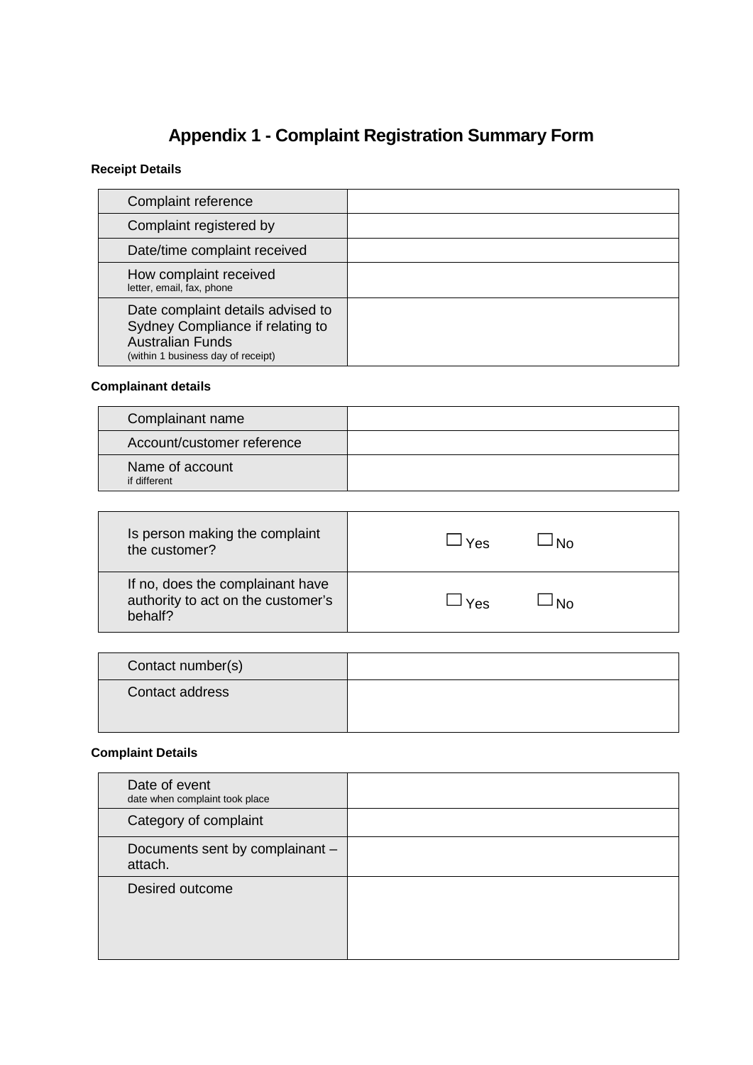# **Appendix 1 - Complaint Registration Summary Form**

# **Receipt Details**

| Complaint reference                                                                                                                    |  |
|----------------------------------------------------------------------------------------------------------------------------------------|--|
| Complaint registered by                                                                                                                |  |
| Date/time complaint received                                                                                                           |  |
| How complaint received<br>letter, email, fax, phone                                                                                    |  |
| Date complaint details advised to<br>Sydney Compliance if relating to<br><b>Australian Funds</b><br>(within 1 business day of receipt) |  |

# **Complainant details**

| Complainant name                |  |
|---------------------------------|--|
| Account/customer reference      |  |
| Name of account<br>if different |  |

| Is person making the complaint                                                    | N٥        |
|-----------------------------------------------------------------------------------|-----------|
| the customer?                                                                     | Yes       |
| If no, does the complainant have<br>authority to act on the customer's<br>behalf? | N۵<br>Yes |

| Contact number(s) |  |
|-------------------|--|
| Contact address   |  |

# **Complaint Details**

| Date of event<br>date when complaint took place |  |
|-------------------------------------------------|--|
| Category of complaint                           |  |
| Documents sent by complainant -<br>attach.      |  |
| Desired outcome                                 |  |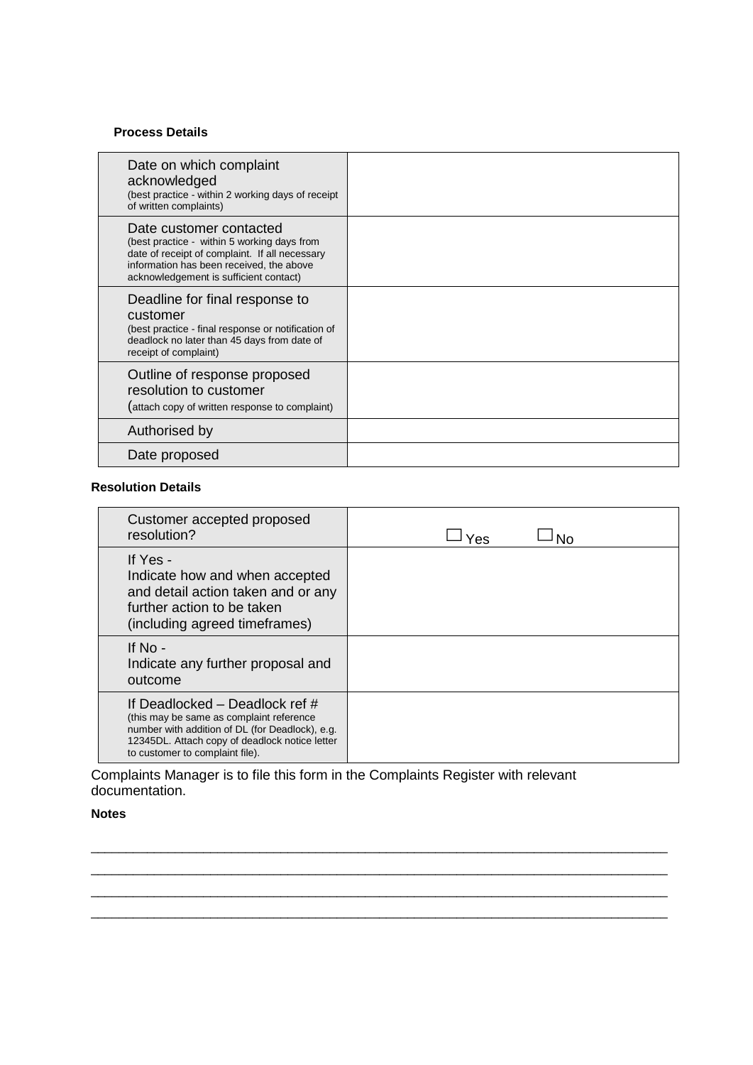#### **Process Details**

| Date on which complaint<br>acknowledged<br>(best practice - within 2 working days of receipt<br>of written complaints)                                                                                         |  |
|----------------------------------------------------------------------------------------------------------------------------------------------------------------------------------------------------------------|--|
| Date customer contacted<br>(best practice - within 5 working days from<br>date of receipt of complaint. If all necessary<br>information has been received, the above<br>acknowledgement is sufficient contact) |  |
| Deadline for final response to<br>customer<br>(best practice - final response or notification of<br>deadlock no later than 45 days from date of<br>receipt of complaint)                                       |  |
| Outline of response proposed<br>resolution to customer<br>(attach copy of written response to complaint)                                                                                                       |  |
| Authorised by                                                                                                                                                                                                  |  |
| Date proposed                                                                                                                                                                                                  |  |

#### **Resolution Details**

| Customer accepted proposed<br>resolution?                                                                                                                                                                            | Yes |
|----------------------------------------------------------------------------------------------------------------------------------------------------------------------------------------------------------------------|-----|
| If Yes -<br>Indicate how and when accepted<br>and detail action taken and or any<br>further action to be taken<br>(including agreed timeframes)                                                                      |     |
| If No -<br>Indicate any further proposal and<br>outcome                                                                                                                                                              |     |
| If Deadlocked – Deadlock ref $#$<br>(this may be same as complaint reference<br>number with addition of DL (for Deadlock), e.g.<br>12345DL. Attach copy of deadlock notice letter<br>to customer to complaint file). |     |

\_\_\_\_\_\_\_\_\_\_\_\_\_\_\_\_\_\_\_\_\_\_\_\_\_\_\_\_\_\_\_\_\_\_\_\_\_\_\_\_\_\_\_\_\_\_\_\_\_\_\_\_\_\_\_\_\_\_\_\_\_\_\_\_\_\_\_\_\_\_\_\_\_\_\_\_\_\_\_\_\_\_ \_\_\_\_\_\_\_\_\_\_\_\_\_\_\_\_\_\_\_\_\_\_\_\_\_\_\_\_\_\_\_\_\_\_\_\_\_\_\_\_\_\_\_\_\_\_\_\_\_\_\_\_\_\_\_\_\_\_\_\_\_\_\_\_\_\_\_\_\_\_\_\_\_\_\_\_\_\_\_\_\_\_ \_\_\_\_\_\_\_\_\_\_\_\_\_\_\_\_\_\_\_\_\_\_\_\_\_\_\_\_\_\_\_\_\_\_\_\_\_\_\_\_\_\_\_\_\_\_\_\_\_\_\_\_\_\_\_\_\_\_\_\_\_\_\_\_\_\_\_\_\_\_\_\_\_\_\_\_\_\_\_\_\_\_ \_\_\_\_\_\_\_\_\_\_\_\_\_\_\_\_\_\_\_\_\_\_\_\_\_\_\_\_\_\_\_\_\_\_\_\_\_\_\_\_\_\_\_\_\_\_\_\_\_\_\_\_\_\_\_\_\_\_\_\_\_\_\_\_\_\_\_\_\_\_\_\_\_\_\_\_\_\_\_\_\_\_

Complaints Manager is to file this form in the Complaints Register with relevant documentation.

#### **Notes**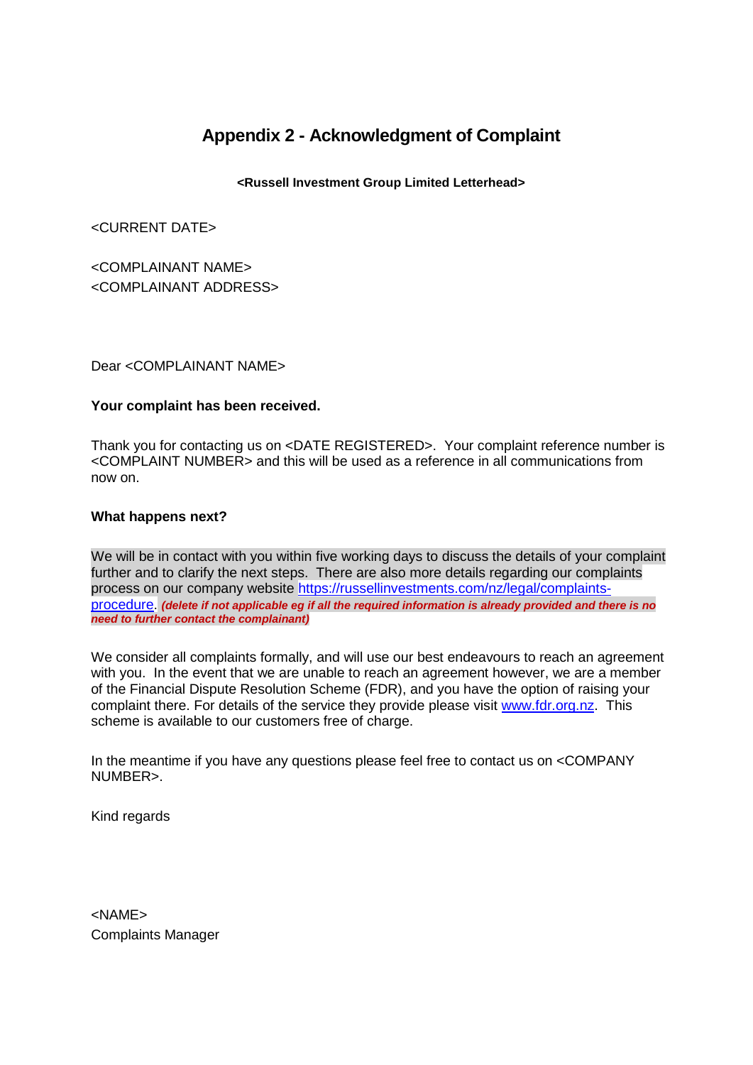# **Appendix 2 - Acknowledgment of Complaint**

# **<Russell Investment Group Limited Letterhead>**

<CURRENT DATE>

<COMPLAINANT NAME> <COMPLAINANT ADDRESS>

#### Dear <COMPLAINANT NAME>

#### **Your complaint has been received.**

Thank you for contacting us on <DATE REGISTERED>. Your complaint reference number is <COMPLAINT NUMBER> and this will be used as a reference in all communications from now on.

#### **What happens next?**

We will be in contact with you within five working days to discuss the details of your complaint further and to clarify the next steps. There are also more details regarding our complaints process on our company website https://russellinvestments.com/nz/legal/complaintsprocedure. *(delete if not applicable eg if all the required information is already provided and there is no need to further contact the complainant)*

We consider all complaints formally, and will use our best endeavours to reach an agreement with you. In the event that we are unable to reach an agreement however, we are a member of the Financial Dispute Resolution Scheme (FDR), and you have the option of raising your complaint there. For details of the service they provide please visit www.fdr.org.nz. This scheme is available to our customers free of charge.

In the meantime if you have any questions please feel free to contact us on <COMPANY NUMBER>.

Kind regards

<NAME> Complaints Manager